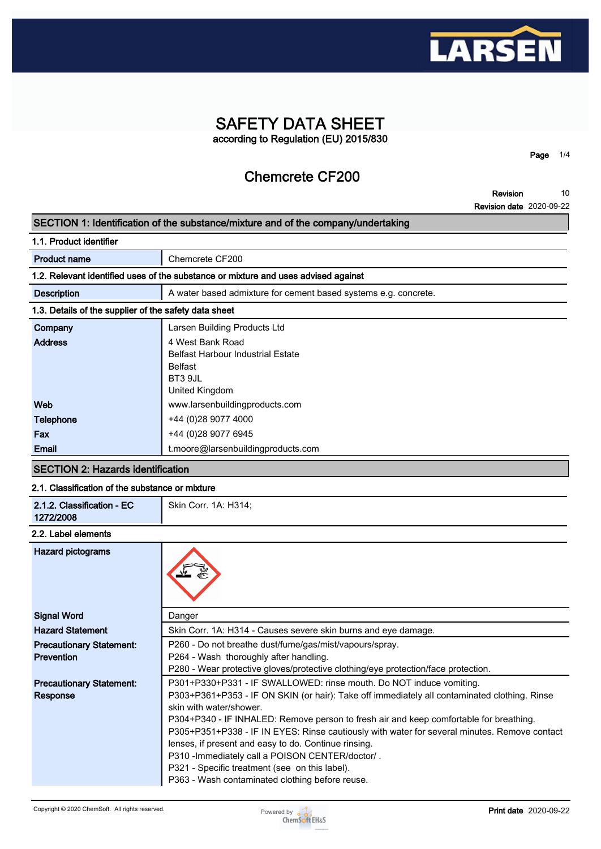

## **SAFETY DATA SHEET according to Regulation (EU) 2015/830**

**Chemcrete CF200**

**Revision 10**

**Page 1/4**

**Revision date 2020-09-22**

### **SECTION 1: Identification of the substance/mixture and of the company/undertaking**

| 1.1. Product identifier |  |
|-------------------------|--|
|                         |  |

| <b>Product name</b>                                                                | Chemcrete CF200                                                 |  |  |
|------------------------------------------------------------------------------------|-----------------------------------------------------------------|--|--|
| 1.2. Relevant identified uses of the substance or mixture and uses advised against |                                                                 |  |  |
| <b>Description</b>                                                                 | A water based admixture for cement based systems e.g. concrete. |  |  |
| 1.3. Details of the supplier of the safety data sheet                              |                                                                 |  |  |
| Company                                                                            | Larsen Building Products Ltd                                    |  |  |
| <b>Address</b>                                                                     | 4 West Bank Road<br><b>Belfast Harbour Industrial Estate</b>    |  |  |
|                                                                                    | <b>Belfast</b><br>BT3 9JL                                       |  |  |
|                                                                                    | United Kingdom                                                  |  |  |
| Web                                                                                | www.larsenbuildingproducts.com                                  |  |  |
| <b>Telephone</b>                                                                   | +44 (0)28 9077 4000                                             |  |  |
| Fax                                                                                | +44 (0)28 9077 6945                                             |  |  |
| Email                                                                              | t.moore@larsenbuildingproducts.com                              |  |  |

### **SECTION 2: Hazards identification**

### **2.1. Classification of the substance or mixture**

| 2.1.2. Classification - EC<br>1272/2008 | Skin Corr. 1A: H314;                                                                         |
|-----------------------------------------|----------------------------------------------------------------------------------------------|
| 2.2. Label elements                     |                                                                                              |
| <b>Hazard pictograms</b>                |                                                                                              |
| <b>Signal Word</b>                      | Danger                                                                                       |
| <b>Hazard Statement</b>                 | Skin Corr. 1A: H314 - Causes severe skin burns and eye damage.                               |
| <b>Precautionary Statement:</b>         | P260 - Do not breathe dust/fume/gas/mist/vapours/spray.                                      |
| <b>Prevention</b>                       | P264 - Wash thoroughly after handling.                                                       |
|                                         | P280 - Wear protective gloves/protective clothing/eye protection/face protection.            |
| <b>Precautionary Statement:</b>         | P301+P330+P331 - IF SWALLOWED: rinse mouth. Do NOT induce vomiting.                          |
| <b>Response</b>                         | P303+P361+P353 - IF ON SKIN (or hair): Take off immediately all contaminated clothing. Rinse |
|                                         | skin with water/shower                                                                       |
|                                         | P304+P340 - IF INHALED: Remove person to fresh air and keep comfortable for breathing.       |
|                                         | P305+P351+P338 - IF IN EYES: Rinse cautiously with water for several minutes. Remove contact |
|                                         | lenses, if present and easy to do. Continue rinsing.                                         |
|                                         | P310 - Immediately call a POISON CENTER/doctor/.                                             |
|                                         | P321 - Specific treatment (see on this label).                                               |
|                                         | P363 - Wash contaminated clothing before reuse.                                              |

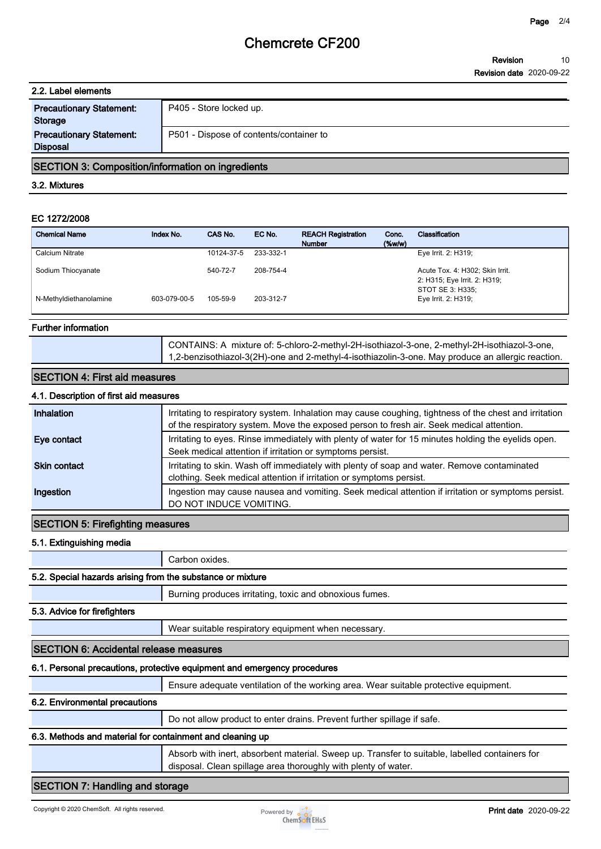# **Chemcrete CF200**

| 2.2. Label elements                                |                                         |  |
|----------------------------------------------------|-----------------------------------------|--|
| <b>Precautionary Statement:</b><br><b>Storage</b>  | P405 - Store locked up.                 |  |
| <b>Precautionary Statement:</b><br><b>Disposal</b> | P501 - Dispose of contents/container to |  |

### **SECTION 3: Composition/information on ingredients**

### **3.2. Mixtures**

### **EC 1272/2008**

| <b>Chemical Name</b>   | Index No.    | CAS No.    | EC No.    | <b>REACH Registration</b><br><b>Number</b> | Conc.<br>(% | Classification                                                                      |
|------------------------|--------------|------------|-----------|--------------------------------------------|-------------|-------------------------------------------------------------------------------------|
| Calcium Nitrate        |              | 10124-37-5 | 233-332-1 |                                            |             | Eye Irrit. 2: H319;                                                                 |
| Sodium Thiocyanate     |              | 540-72-7   | 208-754-4 |                                            |             | Acute Tox. 4: H302; Skin Irrit.<br>2: H315; Eye Irrit. 2: H319;<br>STOT SE 3: H335; |
| N-Methyldiethanolamine | 603-079-00-5 | 105-59-9   | 203-312-7 |                                            |             | Eye Irrit. 2: H319;                                                                 |

### **Further information**

**CONTAINS: A mixture of: 5-chloro-2-methyl-2H-isothiazol-3-one, 2-methyl-2H-isothiazol-3-one, 1,2-benzisothiazol-3(2H)-one and 2-methyl-4-isothiazolin-3-one. May produce an allergic reaction.**

| 4.1. Description of first aid measures                                                                                                                                                             |  |  |  |
|----------------------------------------------------------------------------------------------------------------------------------------------------------------------------------------------------|--|--|--|
| Irritating to respiratory system. Inhalation may cause coughing, tightness of the chest and irritation<br>of the respiratory system. Move the exposed person to fresh air. Seek medical attention. |  |  |  |
| Irritating to eyes. Rinse immediately with plenty of water for 15 minutes holding the eyelids open.<br>Seek medical attention if irritation or symptoms persist.                                   |  |  |  |
| Irritating to skin. Wash off immediately with plenty of soap and water. Remove contaminated<br>clothing. Seek medical attention if irritation or symptoms persist.                                 |  |  |  |
| Ingestion may cause nausea and vomiting. Seek medical attention if irritation or symptoms persist.<br>DO NOT INDUCE VOMITING.                                                                      |  |  |  |
|                                                                                                                                                                                                    |  |  |  |

### **SECTION 5: Firefighting measures**

### **5.1. Extinguishing media**

**Carbon oxides.**

### **5.2. Special hazards arising from the substance or mixture**

**Burning produces irritating, toxic and obnoxious fumes.**

### **5.3. Advice for firefighters**

**Wear suitable respiratory equipment when necessary.**

### **SECTION 6: Accidental release measures**

### **6.1. Personal precautions, protective equipment and emergency procedures**

**Ensure adequate ventilation of the working area. Wear suitable protective equipment.**

### **6.2. Environmental precautions**

**Do not allow product to enter drains. Prevent further spillage if safe.**

### **6.3. Methods and material for containment and cleaning up**

**Absorb with inert, absorbent material. Sweep up. Transfer to suitable, labelled containers for disposal. Clean spillage area thoroughly with plenty of water.**

### **SECTION 7: Handling and storage**

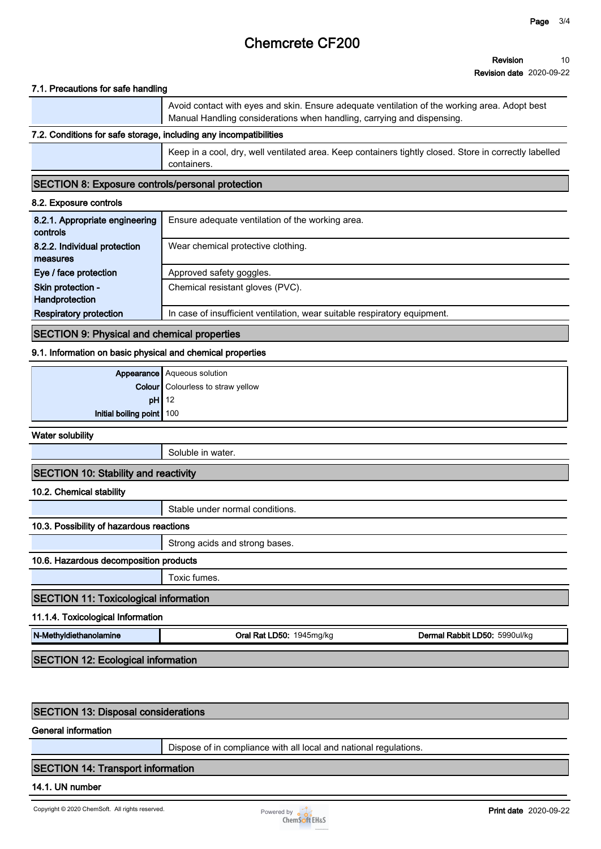# **Chemcrete CF200**

#### **Revision Revision date 2020-09-22 10**

### **7.1. Precautions for safe handling**

**Avoid contact with eyes and skin. Ensure adequate ventilation of the working area. Adopt best Manual Handling considerations when handling, carrying and dispensing.**

### **7.2. Conditions for safe storage, including any incompatibilities**

**Keep in a cool, dry, well ventilated area. Keep containers tightly closed. Store in correctly labelled containers.**

### **SECTION 8: Exposure controls/personal protection**

### **8.2. Exposure controls**

| 8.2.1. Appropriate engineering<br>controls | Ensure adequate ventilation of the working area.                          |
|--------------------------------------------|---------------------------------------------------------------------------|
| 8.2.2. Individual protection               | Wear chemical protective clothing.                                        |
| measures                                   |                                                                           |
| Eye / face protection                      | Approved safety goggles.                                                  |
| Skin protection -                          | Chemical resistant gloves (PVC).                                          |
| Handprotection                             |                                                                           |
| <b>Respiratory protection</b>              | In case of insufficient ventilation, wear suitable respiratory equipment. |

### **SECTION 9: Physical and chemical properties**

### **9.1. Information on basic physical and chemical properties**

|                           | <b>Appearance</b> Aqueous solution       |
|---------------------------|------------------------------------------|
|                           | <b>Colour</b> Colourless to straw yellow |
|                           | $pH$ 12                                  |
| Initial boiling point 100 |                                          |

**Water solubility**

**Soluble in water.**

### **SECTION 10: Stability and reactivity**

**10.2. Chemical stability**

**Stable under normal conditions.**

### **10.3. Possibility of hazardous reactions**

**Strong acids and strong bases.**

### **10.6. Hazardous decomposition products**

**Toxic fumes.**

### **SECTION 11: Toxicological information**

**11.1.4. Toxicological Information**

**N-Methyldiethanolamine Oral Rat LD50: 1945mg/kg Dermal Rabbit LD50: 5990ul/kg**

**SECTION 12: Ecological information**

### **SECTION 13: Disposal considerations**

**General information**

**Dispose of in compliance with all local and national regulations.**

### **SECTION 14: Transport information**

### **14.1. UN number**